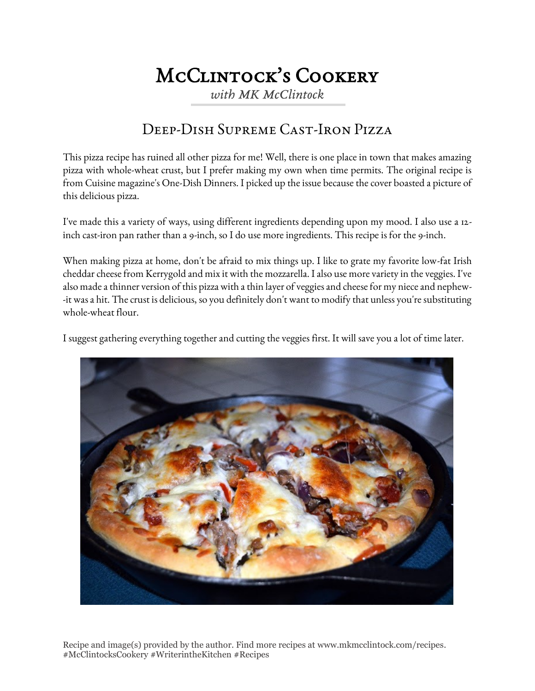# McClintock's Cookery

*with MK McClintock*

## Deep-Dish Supreme Cast-Iron Pizza

This pizza recipe has ruined all other pizza for me! Well, there is one place in town that makes amazing pizza with whole-wheat crust, but I prefer making my own when time permits. The original recipe is from Cuisine magazine's One-Dish Dinners. I picked up the issue because the cover boasted a picture of this delicious pizza.

I've made this a variety of ways, using different ingredients depending upon my mood. I also use a 12 inch cast-iron pan rather than a 9-inch, so I do use more ingredients. This recipe is for the 9-inch.

When making pizza at home, don't be afraid to mix things up. I like to grate my favorite low-fat Irish cheddar cheese from Kerrygold and mix it with the mozzarella. I also use more variety in the veggies. I've also made a thinner version of this pizza with a thin layer of veggies and cheese for my niece and nephew- -it was a hit. The crust is delicious, so you definitely don't want to modify that unless you're substituting whole-wheat flour.

I suggest gathering everything together and cutting the veggies first. It will save you a lot of time later.



Recipe and image(s) provided by the author. Find more recipes at www.mkmcclintock.com/recipes. #McClintocksCookery #WriterintheKitchen #Recipes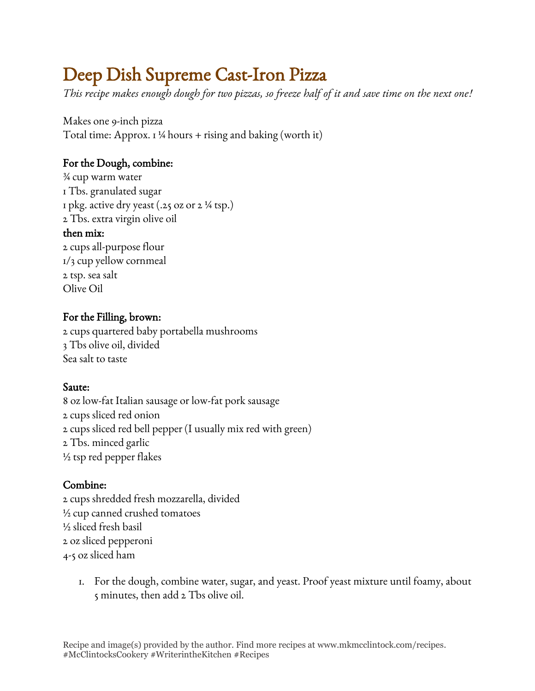# Deep Dish Supreme Cast-Iron Pizza

*This recipe makes enough dough for two pizzas, so freeze half of it and save time on the next one!*

Makes one 9-inch pizza Total time: Approx.  $1\frac{1}{4}$  hours + rising and baking (worth it)

### For the Dough, combine:

¾ cup warm water 1 Tbs. granulated sugar 1 pkg. active dry yeast  $(.25 \text{ oz or } 2\frac{1}{4} \text{ tsp.})$ 2 Tbs. extra virgin olive oil

#### then mix:

2 cups all-purpose flour 1/3 cup yellow cornmeal 2 tsp. sea salt Olive Oil

### For the Filling, brown:

2 cups quartered baby portabella mushrooms 3 Tbs olive oil, divided Sea salt to taste

#### Saute:

8 oz low-fat Italian sausage or low-fat pork sausage 2 cups sliced red onion 2 cups sliced red bell pepper (I usually mix red with green) 2 Tbs. minced garlic  $\frac{1}{2}$  tsp red pepper flakes

#### Combine:

2 cups shredded fresh mozzarella, divided ½ cup canned crushed tomatoes ½ sliced fresh basil 2 oz sliced pepperoni 4-5 oz sliced ham

1. For the dough, combine water, sugar, and yeast. Proof yeast mixture until foamy, about 5 minutes, then add 2 Tbs olive oil.